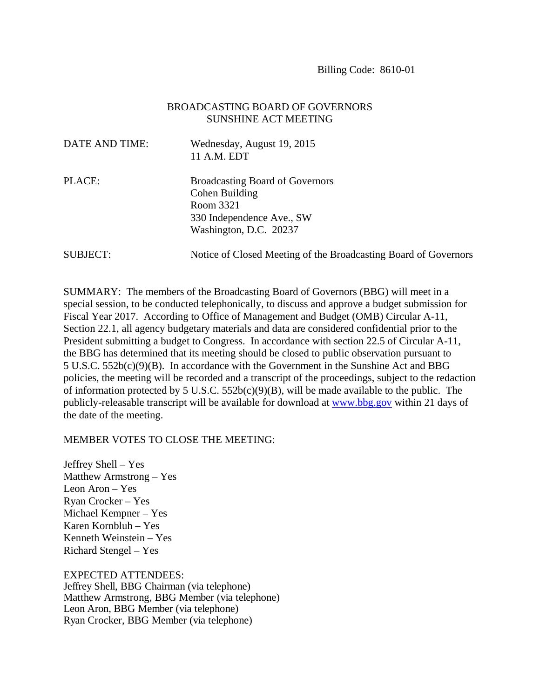## BROADCASTING BOARD OF GOVERNORS SUNSHINE ACT MEETING

| DATE AND TIME: | Wednesday, August 19, 2015<br>11 A.M. EDT                                                                                    |
|----------------|------------------------------------------------------------------------------------------------------------------------------|
| PLACE:         | <b>Broadcasting Board of Governors</b><br>Cohen Building<br>Room 3321<br>330 Independence Ave., SW<br>Washington, D.C. 20237 |
| SUBJECT:       | Notice of Closed Meeting of the Broadcasting Board of Governors                                                              |

SUMMARY: The members of the Broadcasting Board of Governors (BBG) will meet in a special session, to be conducted telephonically, to discuss and approve a budget submission for Fiscal Year 2017. According to Office of Management and Budget (OMB) Circular A-11, Section 22.1, all agency budgetary materials and data are considered confidential prior to the President submitting a budget to Congress. In accordance with section 22.5 of Circular A-11, the BBG has determined that its meeting should be closed to public observation pursuant to 5 U.S.C. 552b(c)(9)(B). In accordance with the Government in the Sunshine Act and BBG policies, the meeting will be recorded and a transcript of the proceedings, subject to the redaction of information protected by 5 U.S.C.  $552b(c)(9)(B)$ , will be made available to the public. The publicly-releasable transcript will be available for download at www.bbg.gov within 21 days of the date of the meeting.

## MEMBER VOTES TO CLOSE THE MEETING:

Jeffrey Shell – Yes Matthew Armstrong – Yes Leon Aron – Yes Ryan Crocker – Yes Michael Kempner – Yes Karen Kornbluh – Yes Kenneth Weinstein – Yes Richard Stengel – Yes

EXPECTED ATTENDEES:

Jeffrey Shell, BBG Chairman (via telephone) Matthew Armstrong, BBG Member (via telephone) Leon Aron, BBG Member (via telephone) Ryan Crocker, BBG Member (via telephone)